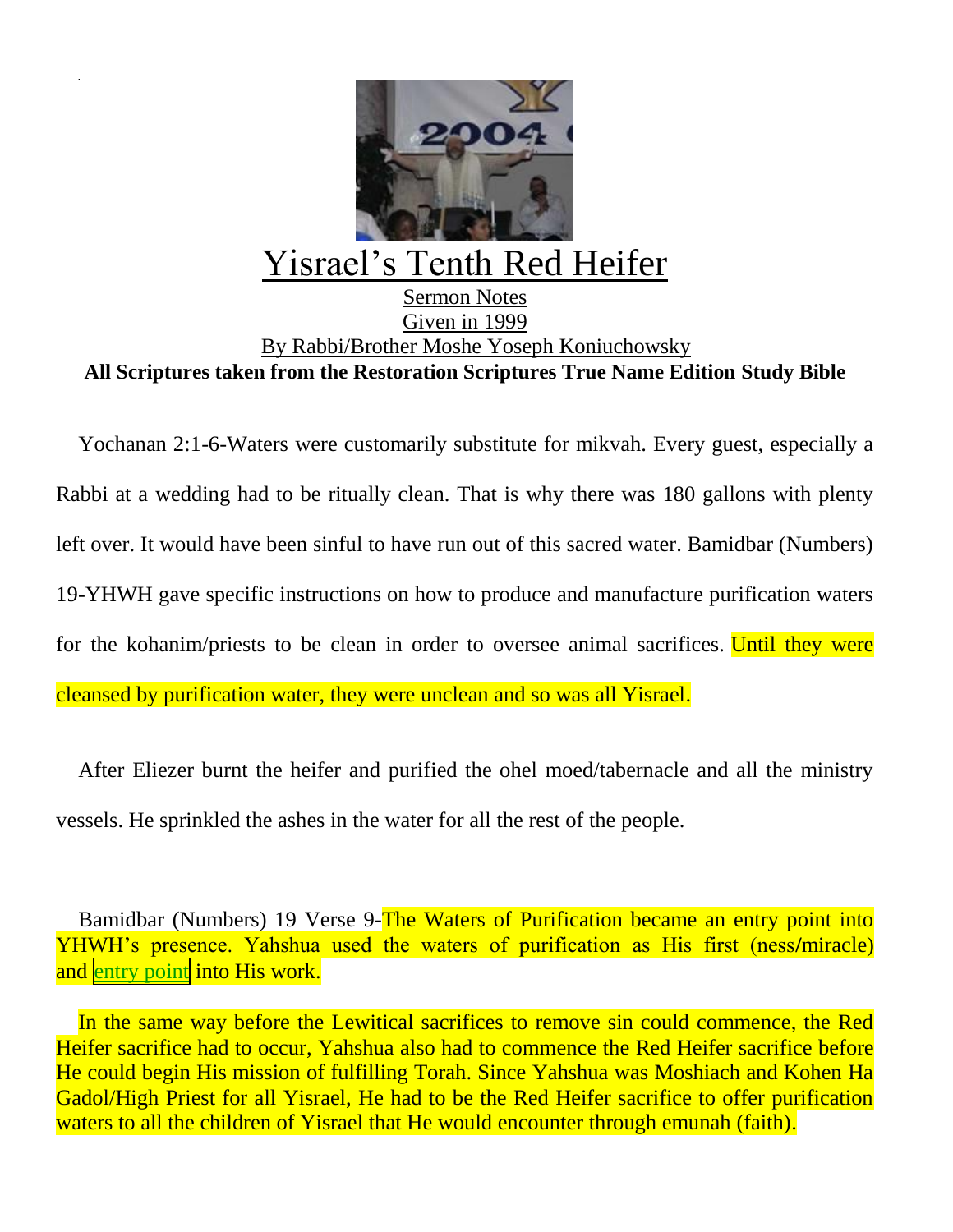

## Yisrael's Tenth Red Heifer

## Sermon Notes Given in 1999 By Rabbi/Brother Moshe Yoseph Koniuchowsky **All Scriptures taken from the Restoration Scriptures True Name Edition Study Bible**

Yochanan 2:1-6-Waters were customarily substitute for mikvah. Every guest, especially a Rabbi at a wedding had to be ritually clean. That is why there was 180 gallons with plenty left over. It would have been sinful to have run out of this sacred water. Bamidbar (Numbers) 19-YHWH gave specific instructions on how to produce and manufacture purification waters for the kohanim/priests to be clean in order to oversee animal sacrifices. Until they were cleansed by purification water, they were unclean and so was all Yisrael.

After Eliezer burnt the heifer and purified the ohel moed/tabernacle and all the ministry vessels. He sprinkled the ashes in the water for all the rest of the people.

Bamidbar (Numbers) 19 Verse 9-The Waters of Purification became an entry point into YHWH's presence. Yahshua used the waters of purification as His first (ness**/**miracle) and entry point into His work.

In the same way before the Lewitical sacrifices to remove sin could commence, the Red Heifer sacrifice had to occur, Yahshua also had to commence the Red Heifer sacrifice before He could begin His mission of fulfilling Torah. Since Yahshua was Moshiach and Kohen Ha Gadol/High Priest for all Yisrael, He had to be the Red Heifer sacrifice to offer purification waters to all the children of Yisrael that He would encounter through emunah (faith).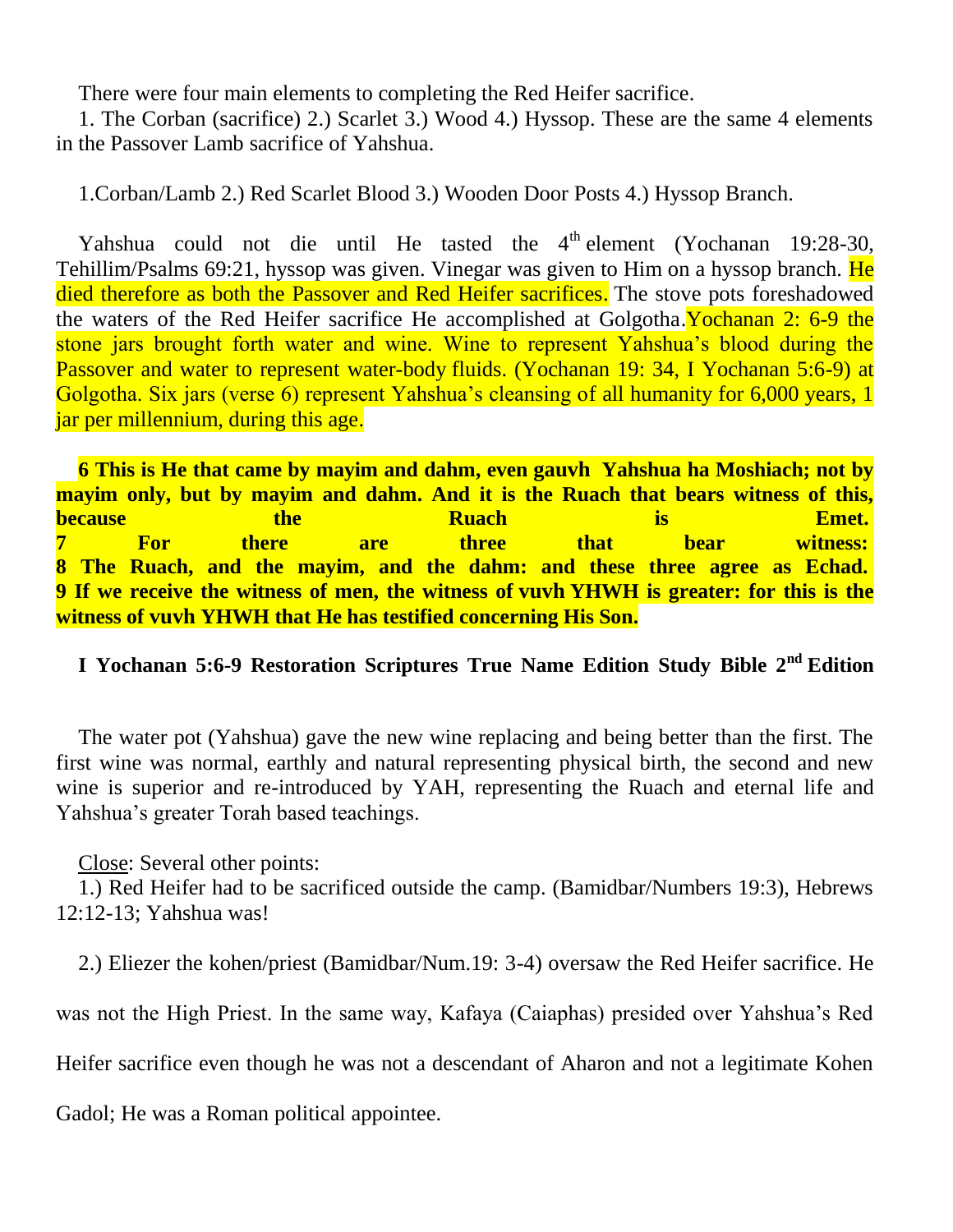There were four main elements to completing the Red Heifer sacrifice.

1. The Corban (sacrifice) 2.) Scarlet 3.) Wood 4.) Hyssop. These are the same 4 elements in the Passover Lamb sacrifice of Yahshua.

1.Corban/Lamb 2.) Red Scarlet Blood 3.) Wooden Door Posts 4.) Hyssop Branch.

Yahshua could not die until He tasted the  $4<sup>th</sup>$  element (Yochanan 19:28-30, Tehillim/Psalms 69:21, hyssop was given. Vinegar was given to Him on a hyssop branch. He died therefore as both the Passover and Red Heifer sacrifices. The stove pots foreshadowed the waters of the Red Heifer sacrifice He accomplished at Golgotha.Yochanan 2: 6-9 the stone jars brought forth water and wine. Wine to represent Yahshua's blood during the Passover and water to represent water-body fluids. (Yochanan 19: 34, I Yochanan 5:6-9) at Golgotha. Six jars (verse 6) represent Yahshua's cleansing of all humanity for 6,000 years, 1 jar per millennium, during this age.

**6 This is He that came by mayim and dahm, even gauvh Yahshua ha Moshiach; not by mayim only, but by mayim and dahm. And it is the Ruach that bears witness of this, because the the Ruach is Emet. 7 For there are three that bear witness: 8 The Ruach, and the mayim, and the dahm: and these three agree as Echad. 9 If we receive the witness of men, the witness of vuvh YHWH is greater: for this is the witness of vuvh YHWH that He has testified concerning His Son.**

## **I Yochanan 5:6-9 Restoration Scriptures True Name Edition Study Bible 2nd Edition**

The water pot (Yahshua) gave the new wine replacing and being better than the first. The first wine was normal, earthly and natural representing physical birth, the second and new wine is superior and re-introduced by YAH, representing the Ruach and eternal life and Yahshua's greater Torah based teachings.

Close: Several other points:

1.) Red Heifer had to be sacrificed outside the camp. (Bamidbar/Numbers 19:3), Hebrews 12:12-13; Yahshua was!

2.) Eliezer the kohen/priest (Bamidbar/Num.19: 3-4) oversaw the Red Heifer sacrifice. He

was not the High Priest. In the same way, Kafaya (Caiaphas) presided over Yahshua's Red

Heifer sacrifice even though he was not a descendant of Aharon and not a legitimate Kohen

Gadol; He was a Roman political appointee.